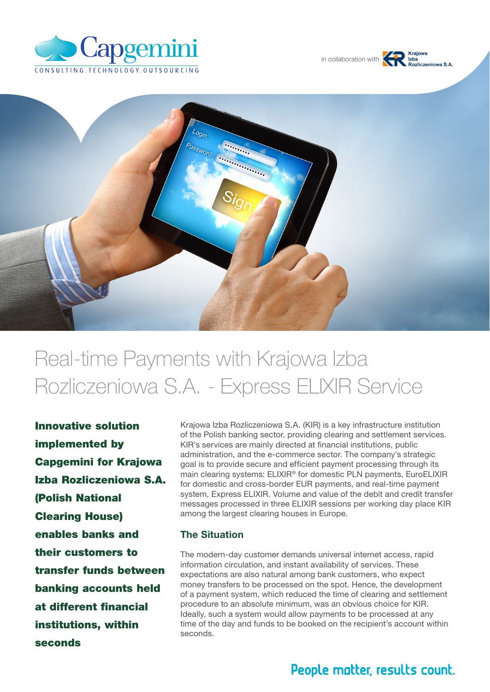





# Real-time Payments with Krajowa Izba Rozliczeniowa S.A. - Express ELIXIR Service

Innovative solution implemented by Capgemini for Krajowa Izba Rozliczeniowa S.A. (Polish National Clearing House) enables banks and their customers to transfer funds between banking accounts held at different financial institutions, within seconds

Krajowa Izba Rozliczeniowa S.A. (KIR) is a key infrastructure institution of the Polish banking sector, providing clearing and settlement services. KIR's services are mainly directed at financial institutions, public administration, and the e-commerce sector. The company's strategic goal is to provide secure and efficient payment processing through its main clearing systems: ELIXIR® for domestic PLN payments, EuroELIXIR for domestic and cross-border EUR payments, and real-time payment system, Express ELIXIR. Volume and value of the debit and credit transfer messages processed in three ELIXIR sessions per working day place KIR among the largest clearing houses in Europe.

#### The Situation

The modern-day customer demands universal internet access, rapid information circulation, and instant availability of services. These expectations are also natural among bank customers, who expect money transfers to be processed on the spot. Hence, the development of a payment system, which reduced the time of clearing and settlement procedure to an absolute minimum, was an obvious choice for KIR. Ideally, such a system would allow payments to be processed at any time of the day and funds to be booked on the recipient's account within seconds.

## People matter, results count.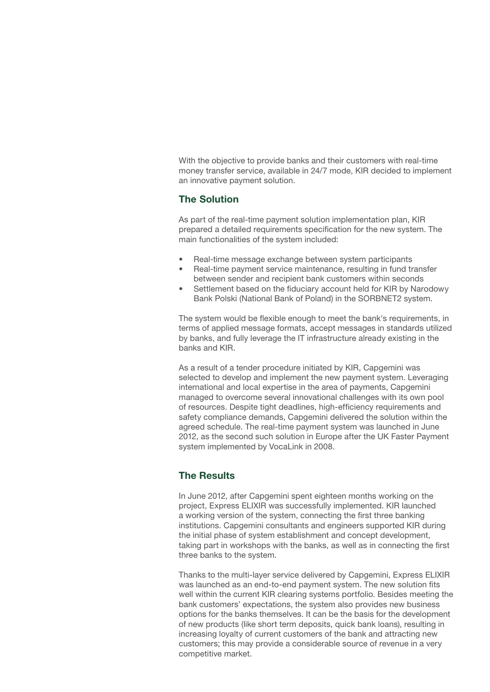With the objective to provide banks and their customers with real-time money transfer service, available in 24/7 mode, KIR decided to implement an innovative payment solution.

#### The Solution

As part of the real-time payment solution implementation plan, KIR prepared a detailed requirements specification for the new system. The main functionalities of the system included:

- Real-time message exchange between system participants
- Real-time payment service maintenance, resulting in fund transfer between sender and recipient bank customers within seconds
- Settlement based on the fiduciary account held for KIR by Narodowy Bank Polski (National Bank of Poland) in the SORBNET2 system.

The system would be flexible enough to meet the bank's requirements, in terms of applied message formats, accept messages in standards utilized by banks, and fully leverage the IT infrastructure already existing in the banks and KIR.

As a result of a tender procedure initiated by KIR, Capgemini was selected to develop and implement the new payment system. Leveraging international and local expertise in the area of payments, Capgemini managed to overcome several innovational challenges with its own pool of resources. Despite tight deadlines, high-efficiency requirements and safety compliance demands, Capgemini delivered the solution within the agreed schedule. The real-time payment system was launched in June 2012, as the second such solution in Europe after the UK Faster Payment system implemented by VocaLink in 2008.

#### The Results

In June 2012, after Capgemini spent eighteen months working on the project, Express ELIXIR was successfully implemented. KIR launched a working version of the system, connecting the first three banking institutions. Capgemini consultants and engineers supported KIR during the initial phase of system establishment and concept development, taking part in workshops with the banks, as well as in connecting the first three banks to the system.

Thanks to the multi-layer service delivered by Capgemini, Express ELIXIR was launched as an end-to-end payment system. The new solution fits well within the current KIR clearing systems portfolio. Besides meeting the bank customers' expectations, the system also provides new business options for the banks themselves. It can be the basis for the development of new products (like short term deposits, quick bank loans), resulting in increasing loyalty of current customers of the bank and attracting new customers; this may provide a considerable source of revenue in a very competitive market.